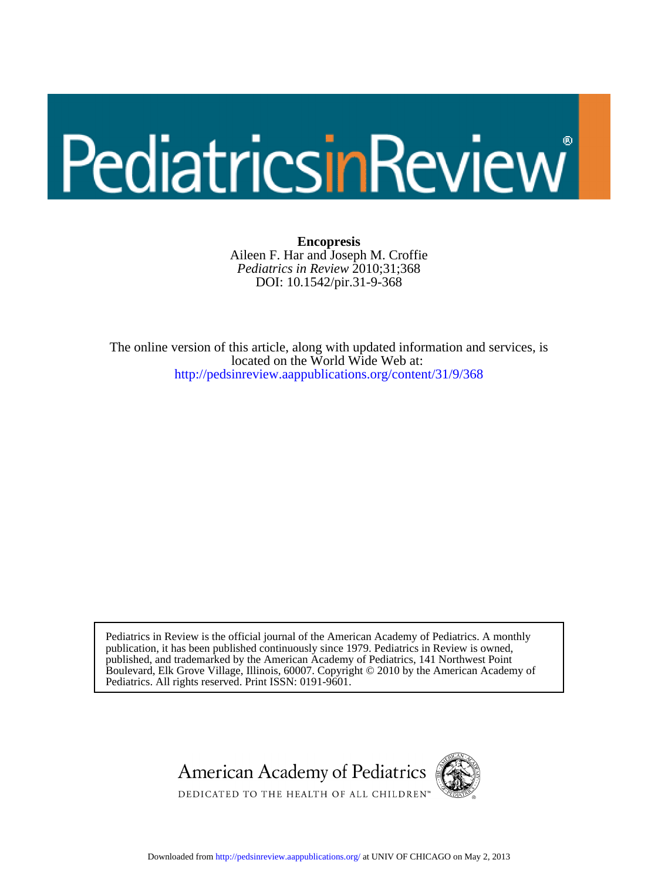# PediatricsinReview

DOI: 10.1542/pir.31-9-368 *Pediatrics in Review* 2010;31;368 Aileen F. Har and Joseph M. Croffie **Encopresis**

<http://pedsinreview.aappublications.org/content/31/9/368> located on the World Wide Web at: The online version of this article, along with updated information and services, is

Pediatrics. All rights reserved. Print ISSN: 0191-9601. Boulevard, Elk Grove Village, Illinois, 60007. Copyright © 2010 by the American Academy of published, and trademarked by the American Academy of Pediatrics, 141 Northwest Point publication, it has been published continuously since 1979. Pediatrics in Review is owned, Pediatrics in Review is the official journal of the American Academy of Pediatrics. A monthly

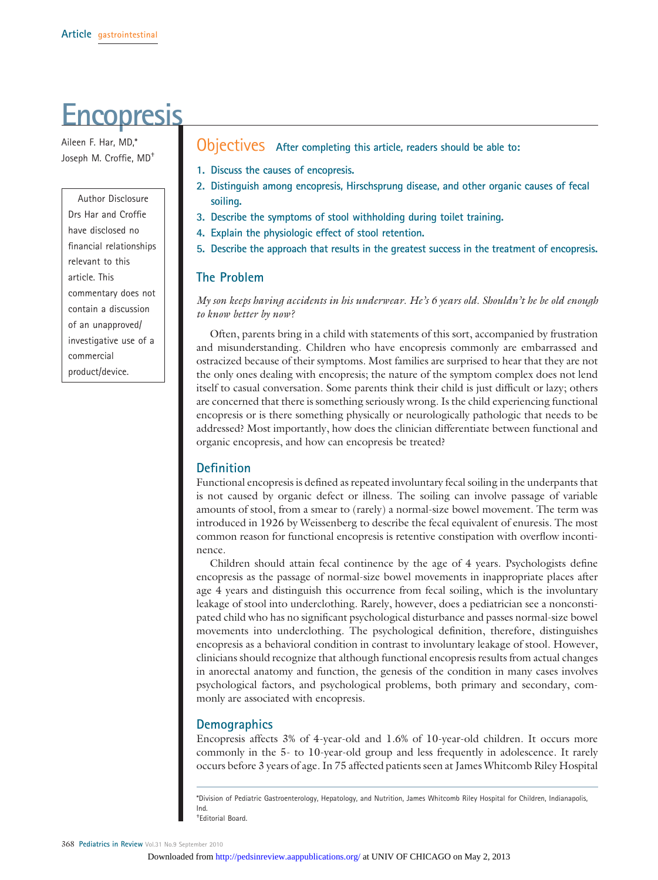# **Encopresis**

Aileen F. Har, MD,\* Joseph M. Croffie, MD†

Author Disclosure Drs Har and Croffie have disclosed no financial relationships relevant to this article. This commentary does not contain a discussion of an unapproved/ investigative use of a commercial product/device.

## Objectives **After completing this article, readers should be able to:**

- **1. Discuss the causes of encopresis.**
- **2. Distinguish among encopresis, Hirschsprung disease, and other organic causes of fecal soiling.**
- **3. Describe the symptoms of stool withholding during toilet training.**
- **4. Explain the physiologic effect of stool retention.**
- **5. Describe the approach that results in the greatest success in the treatment of encopresis.**

#### **The Problem**

#### *My son keeps having accidents in his underwear. He's 6 years old. Shouldn't he be old enough to know better by now?*

Often, parents bring in a child with statements of this sort, accompanied by frustration and misunderstanding. Children who have encopresis commonly are embarrassed and ostracized because of their symptoms. Most families are surprised to hear that they are not the only ones dealing with encopresis; the nature of the symptom complex does not lend itself to casual conversation. Some parents think their child is just difficult or lazy; others are concerned that there is something seriously wrong. Is the child experiencing functional encopresis or is there something physically or neurologically pathologic that needs to be addressed? Most importantly, how does the clinician differentiate between functional and organic encopresis, and how can encopresis be treated?

#### **Definition**

Functional encopresis is defined as repeated involuntary fecal soiling in the underpants that is not caused by organic defect or illness. The soiling can involve passage of variable amounts of stool, from a smear to (rarely) a normal-size bowel movement. The term was introduced in 1926 by Weissenberg to describe the fecal equivalent of enuresis. The most common reason for functional encopresis is retentive constipation with overflow incontinence.

Children should attain fecal continence by the age of 4 years. Psychologists define encopresis as the passage of normal-size bowel movements in inappropriate places after age 4 years and distinguish this occurrence from fecal soiling, which is the involuntary leakage of stool into underclothing. Rarely, however, does a pediatrician see a nonconstipated child who has no significant psychological disturbance and passes normal-size bowel movements into underclothing. The psychological definition, therefore, distinguishes encopresis as a behavioral condition in contrast to involuntary leakage of stool. However, clinicians should recognize that although functional encopresis results from actual changes in anorectal anatomy and function, the genesis of the condition in many cases involves psychological factors, and psychological problems, both primary and secondary, commonly are associated with encopresis.

#### **Demographics**

Encopresis affects 3% of 4-year-old and 1.6% of 10-year-old children. It occurs more commonly in the 5- to 10-year-old group and less frequently in adolescence. It rarely occurs before 3 years of age. In 75 affected patients seen at James Whitcomb Riley Hospital

\*Division of Pediatric Gastroenterology, Hepatology, and Nutrition, James Whitcomb Riley Hospital for Children, Indianapolis, Ind.

† Editorial Board.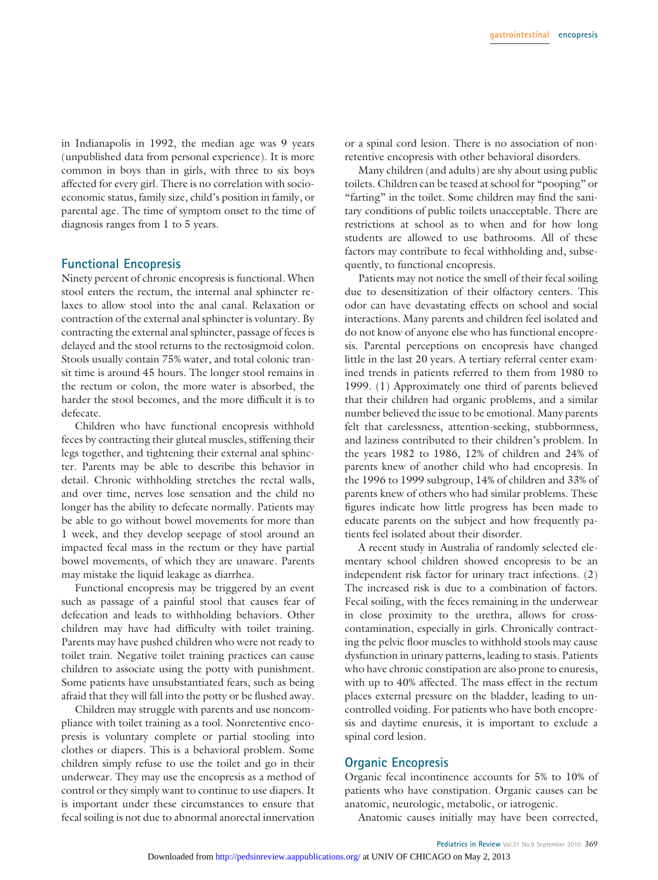in Indianapolis in 1992, the median age was 9 years (unpublished data from personal experience). It is more common in boys than in girls, with three to six boys affected for every girl. There is no correlation with socioeconomic status, family size, child's position in family, or parental age. The time of symptom onset to the time of diagnosis ranges from 1 to 5 years.

#### **Functional Encopresis**

Ninety percent of chronic encopresis is functional. When stool enters the rectum, the internal anal sphincter relaxes to allow stool into the anal canal. Relaxation or contraction of the external anal sphincter is voluntary. By contracting the external anal sphincter, passage of feces is delayed and the stool returns to the rectosigmoid colon. Stools usually contain 75% water, and total colonic transit time is around 45 hours. The longer stool remains in the rectum or colon, the more water is absorbed, the harder the stool becomes, and the more difficult it is to defecate.

Children who have functional encopresis withhold feces by contracting their gluteal muscles, stiffening their legs together, and tightening their external anal sphincter. Parents may be able to describe this behavior in detail. Chronic withholding stretches the rectal walls, and over time, nerves lose sensation and the child no longer has the ability to defecate normally. Patients may be able to go without bowel movements for more than 1 week, and they develop seepage of stool around an impacted fecal mass in the rectum or they have partial bowel movements, of which they are unaware. Parents may mistake the liquid leakage as diarrhea.

Functional encopresis may be triggered by an event such as passage of a painful stool that causes fear of defecation and leads to withholding behaviors. Other children may have had difficulty with toilet training. Parents may have pushed children who were not ready to toilet train. Negative toilet training practices can cause children to associate using the potty with punishment. Some patients have unsubstantiated fears, such as being afraid that they will fall into the potty or be flushed away.

Children may struggle with parents and use noncompliance with toilet training as a tool. Nonretentive encopresis is voluntary complete or partial stooling into clothes or diapers. This is a behavioral problem. Some children simply refuse to use the toilet and go in their underwear. They may use the encopresis as a method of control or they simply want to continue to use diapers. It is important under these circumstances to ensure that fecal soiling is not due to abnormal anorectal innervation or a spinal cord lesion. There is no association of nonretentive encopresis with other behavioral disorders.

Many children (and adults) are shy about using public toilets. Children can be teased at school for "pooping" or "farting" in the toilet. Some children may find the sanitary conditions of public toilets unacceptable. There are restrictions at school as to when and for how long students are allowed to use bathrooms. All of these factors may contribute to fecal withholding and, subsequently, to functional encopresis.

Patients may not notice the smell of their fecal soiling due to desensitization of their olfactory centers. This odor can have devastating effects on school and social interactions. Many parents and children feel isolated and do not know of anyone else who has functional encopresis. Parental perceptions on encopresis have changed little in the last 20 years. A tertiary referral center examined trends in patients referred to them from 1980 to 1999. (1) Approximately one third of parents believed that their children had organic problems, and a similar number believed the issue to be emotional. Many parents felt that carelessness, attention-seeking, stubbornness, and laziness contributed to their children's problem. In the years 1982 to 1986, 12% of children and 24% of parents knew of another child who had encopresis. In the 1996 to 1999 subgroup, 14% of children and 33% of parents knew of others who had similar problems. These figures indicate how little progress has been made to educate parents on the subject and how frequently patients feel isolated about their disorder.

A recent study in Australia of randomly selected elementary school children showed encopresis to be an independent risk factor for urinary tract infections. (2) The increased risk is due to a combination of factors. Fecal soiling, with the feces remaining in the underwear in close proximity to the urethra, allows for crosscontamination, especially in girls. Chronically contracting the pelvic floor muscles to withhold stools may cause dysfunction in urinary patterns, leading to stasis. Patients who have chronic constipation are also prone to enuresis, with up to 40% affected. The mass effect in the rectum places external pressure on the bladder, leading to uncontrolled voiding. For patients who have both encopresis and daytime enuresis, it is important to exclude a spinal cord lesion.

#### **Organic Encopresis**

Organic fecal incontinence accounts for 5% to 10% of patients who have constipation. Organic causes can be anatomic, neurologic, metabolic, or iatrogenic.

Anatomic causes initially may have been corrected,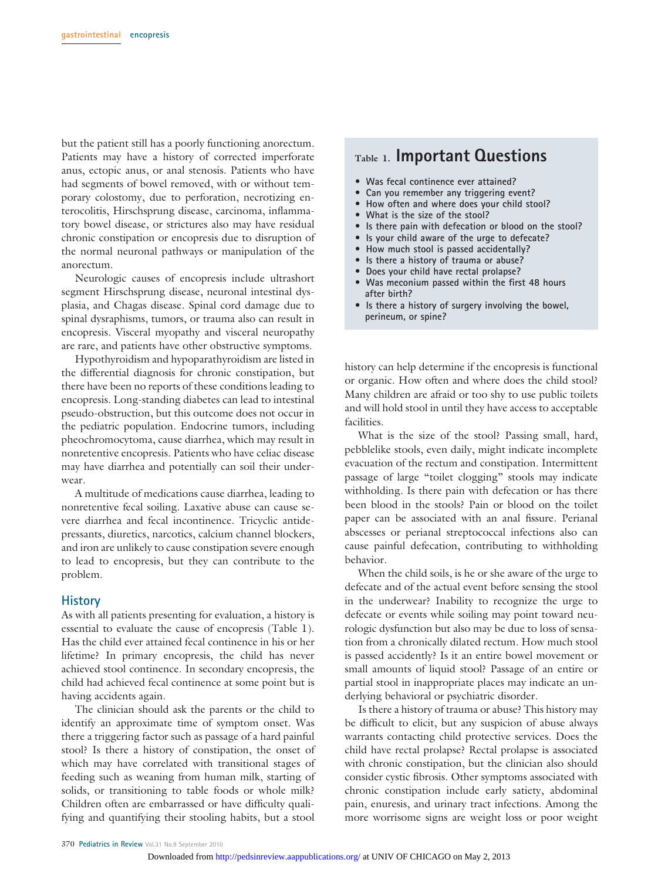but the patient still has a poorly functioning anorectum. Patients may have a history of corrected imperforate anus, ectopic anus, or anal stenosis. Patients who have had segments of bowel removed, with or without temporary colostomy, due to perforation, necrotizing enterocolitis, Hirschsprung disease, carcinoma, inflammatory bowel disease, or strictures also may have residual chronic constipation or encopresis due to disruption of the normal neuronal pathways or manipulation of the anorectum.

Neurologic causes of encopresis include ultrashort segment Hirschsprung disease, neuronal intestinal dysplasia, and Chagas disease. Spinal cord damage due to spinal dysraphisms, tumors, or trauma also can result in encopresis. Visceral myopathy and visceral neuropathy are rare, and patients have other obstructive symptoms.

Hypothyroidism and hypoparathyroidism are listed in the differential diagnosis for chronic constipation, but there have been no reports of these conditions leading to encopresis. Long-standing diabetes can lead to intestinal pseudo-obstruction, but this outcome does not occur in the pediatric population. Endocrine tumors, including pheochromocytoma, cause diarrhea, which may result in nonretentive encopresis. Patients who have celiac disease may have diarrhea and potentially can soil their underwear.

A multitude of medications cause diarrhea, leading to nonretentive fecal soiling. Laxative abuse can cause severe diarrhea and fecal incontinence. Tricyclic antidepressants, diuretics, narcotics, calcium channel blockers, and iron are unlikely to cause constipation severe enough to lead to encopresis, but they can contribute to the problem.

#### **History**

As with all patients presenting for evaluation, a history is essential to evaluate the cause of encopresis (Table 1). Has the child ever attained fecal continence in his or her lifetime? In primary encopresis, the child has never achieved stool continence. In secondary encopresis, the child had achieved fecal continence at some point but is having accidents again.

The clinician should ask the parents or the child to identify an approximate time of symptom onset. Was there a triggering factor such as passage of a hard painful stool? Is there a history of constipation, the onset of which may have correlated with transitional stages of feeding such as weaning from human milk, starting of solids, or transitioning to table foods or whole milk? Children often are embarrassed or have difficulty qualifying and quantifying their stooling habits, but a stool

# **Table 1. Important Questions**

- **Was fecal continence ever attained?**
- **Can you remember any triggering event?**
- **How often and where does your child stool?**
- **What is the size of the stool?**
- **Is there pain with defecation or blood on the stool?**
- **Is your child aware of the urge to defecate?**
- **How much stool is passed accidentally?**
- **Is there a history of trauma or abuse?**
- **Does your child have rectal prolapse?**
- **Was meconium passed within the first 48 hours after birth?**
- **Is there a history of surgery involving the bowel, perineum, or spine?**

history can help determine if the encopresis is functional or organic. How often and where does the child stool? Many children are afraid or too shy to use public toilets and will hold stool in until they have access to acceptable facilities.

What is the size of the stool? Passing small, hard, pebblelike stools, even daily, might indicate incomplete evacuation of the rectum and constipation. Intermittent passage of large "toilet clogging" stools may indicate withholding. Is there pain with defecation or has there been blood in the stools? Pain or blood on the toilet paper can be associated with an anal fissure. Perianal abscesses or perianal streptococcal infections also can cause painful defecation, contributing to withholding behavior.

When the child soils, is he or she aware of the urge to defecate and of the actual event before sensing the stool in the underwear? Inability to recognize the urge to defecate or events while soiling may point toward neurologic dysfunction but also may be due to loss of sensation from a chronically dilated rectum. How much stool is passed accidently? Is it an entire bowel movement or small amounts of liquid stool? Passage of an entire or partial stool in inappropriate places may indicate an underlying behavioral or psychiatric disorder.

Is there a history of trauma or abuse? This history may be difficult to elicit, but any suspicion of abuse always warrants contacting child protective services. Does the child have rectal prolapse? Rectal prolapse is associated with chronic constipation, but the clinician also should consider cystic fibrosis. Other symptoms associated with chronic constipation include early satiety, abdominal pain, enuresis, and urinary tract infections. Among the more worrisome signs are weight loss or poor weight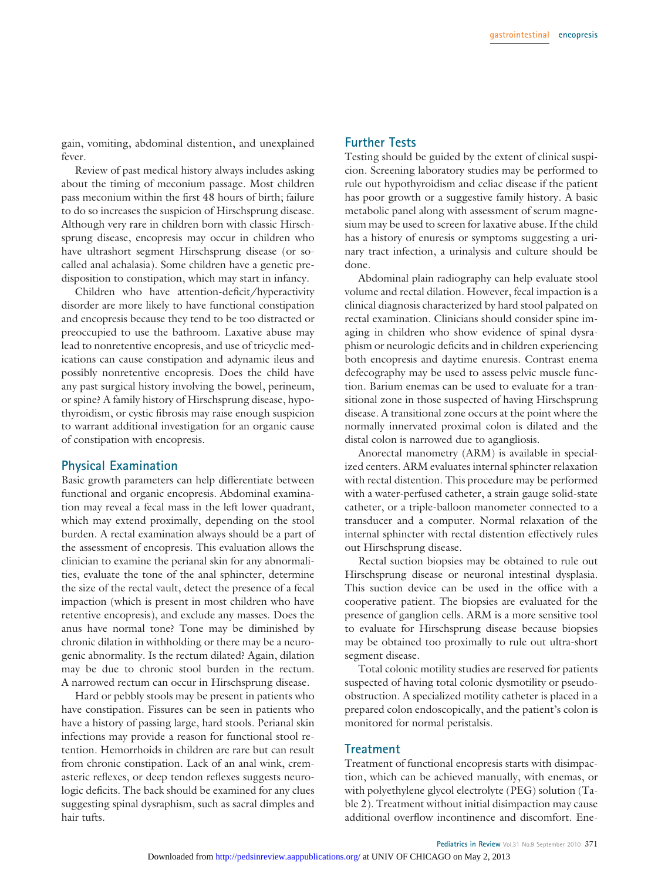gain, vomiting, abdominal distention, and unexplained fever.

Review of past medical history always includes asking about the timing of meconium passage. Most children pass meconium within the first 48 hours of birth; failure to do so increases the suspicion of Hirschsprung disease. Although very rare in children born with classic Hirschsprung disease, encopresis may occur in children who have ultrashort segment Hirschsprung disease (or socalled anal achalasia). Some children have a genetic predisposition to constipation, which may start in infancy.

Children who have attention-deficit/hyperactivity disorder are more likely to have functional constipation and encopresis because they tend to be too distracted or preoccupied to use the bathroom. Laxative abuse may lead to nonretentive encopresis, and use of tricyclic medications can cause constipation and adynamic ileus and possibly nonretentive encopresis. Does the child have any past surgical history involving the bowel, perineum, or spine? A family history of Hirschsprung disease, hypothyroidism, or cystic fibrosis may raise enough suspicion to warrant additional investigation for an organic cause of constipation with encopresis.

#### **Physical Examination**

Basic growth parameters can help differentiate between functional and organic encopresis. Abdominal examination may reveal a fecal mass in the left lower quadrant, which may extend proximally, depending on the stool burden. A rectal examination always should be a part of the assessment of encopresis. This evaluation allows the clinician to examine the perianal skin for any abnormalities, evaluate the tone of the anal sphincter, determine the size of the rectal vault, detect the presence of a fecal impaction (which is present in most children who have retentive encopresis), and exclude any masses. Does the anus have normal tone? Tone may be diminished by chronic dilation in withholding or there may be a neurogenic abnormality. Is the rectum dilated? Again, dilation may be due to chronic stool burden in the rectum. A narrowed rectum can occur in Hirschsprung disease.

Hard or pebbly stools may be present in patients who have constipation. Fissures can be seen in patients who have a history of passing large, hard stools. Perianal skin infections may provide a reason for functional stool retention. Hemorrhoids in children are rare but can result from chronic constipation. Lack of an anal wink, cremasteric reflexes, or deep tendon reflexes suggests neurologic deficits. The back should be examined for any clues suggesting spinal dysraphism, such as sacral dimples and hair tufts.

#### **Further Tests**

Testing should be guided by the extent of clinical suspicion. Screening laboratory studies may be performed to rule out hypothyroidism and celiac disease if the patient has poor growth or a suggestive family history. A basic metabolic panel along with assessment of serum magnesium may be used to screen for laxative abuse. If the child has a history of enuresis or symptoms suggesting a urinary tract infection, a urinalysis and culture should be done.

Abdominal plain radiography can help evaluate stool volume and rectal dilation. However, fecal impaction is a clinical diagnosis characterized by hard stool palpated on rectal examination. Clinicians should consider spine imaging in children who show evidence of spinal dysraphism or neurologic deficits and in children experiencing both encopresis and daytime enuresis. Contrast enema defecography may be used to assess pelvic muscle function. Barium enemas can be used to evaluate for a transitional zone in those suspected of having Hirschsprung disease. A transitional zone occurs at the point where the normally innervated proximal colon is dilated and the distal colon is narrowed due to agangliosis.

Anorectal manometry (ARM) is available in specialized centers. ARM evaluates internal sphincter relaxation with rectal distention. This procedure may be performed with a water-perfused catheter, a strain gauge solid-state catheter, or a triple-balloon manometer connected to a transducer and a computer. Normal relaxation of the internal sphincter with rectal distention effectively rules out Hirschsprung disease.

Rectal suction biopsies may be obtained to rule out Hirschsprung disease or neuronal intestinal dysplasia. This suction device can be used in the office with a cooperative patient. The biopsies are evaluated for the presence of ganglion cells. ARM is a more sensitive tool to evaluate for Hirschsprung disease because biopsies may be obtained too proximally to rule out ultra-short segment disease.

Total colonic motility studies are reserved for patients suspected of having total colonic dysmotility or pseudoobstruction. A specialized motility catheter is placed in a prepared colon endoscopically, and the patient's colon is monitored for normal peristalsis.

#### **Treatment**

Treatment of functional encopresis starts with disimpaction, which can be achieved manually, with enemas, or with polyethylene glycol electrolyte (PEG) solution (Table 2). Treatment without initial disimpaction may cause additional overflow incontinence and discomfort. Ene-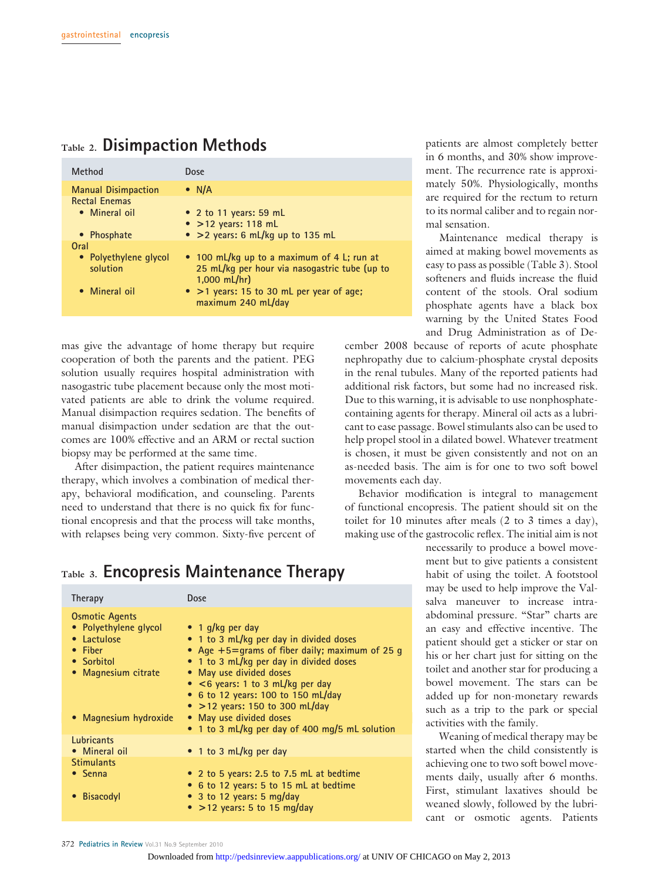# **Table 2. Disimpaction Methods**

| Method                                | Dose                                                                                                          |
|---------------------------------------|---------------------------------------------------------------------------------------------------------------|
| <b>Manual Disimpaction</b>            | $\bullet$ N/A                                                                                                 |
| <b>Rectal Enemas</b><br>• Mineral oil | • 2 to 11 years: 59 mL<br>$\bullet$ > 12 years: 118 mL                                                        |
| • Phosphate<br>Oral                   | • > 2 years: 6 mL/kg up to 135 mL                                                                             |
| • Polyethylene glycol<br>solution     | • 100 mL/kg up to a maximum of 4 L; run at<br>25 mL/kg per hour via nasogastric tube (up to<br>$1,000$ mL/hr) |
| • Mineral oil                         | • >1 years: 15 to 30 mL per year of age;<br>maximum 240 mL/day                                                |

mas give the advantage of home therapy but require cooperation of both the parents and the patient. PEG solution usually requires hospital administration with nasogastric tube placement because only the most motivated patients are able to drink the volume required. Manual disimpaction requires sedation. The benefits of manual disimpaction under sedation are that the outcomes are 100% effective and an ARM or rectal suction biopsy may be performed at the same time.

After disimpaction, the patient requires maintenance therapy, which involves a combination of medical therapy, behavioral modification, and counseling. Parents need to understand that there is no quick fix for functional encopresis and that the process will take months, with relapses being very common. Sixty-five percent of

# **Table 3. Encopresis Maintenance Therapy**

| Therapy                                                                                                               | Dose                                                                                                                                                                                                                                                                                |
|-----------------------------------------------------------------------------------------------------------------------|-------------------------------------------------------------------------------------------------------------------------------------------------------------------------------------------------------------------------------------------------------------------------------------|
| <b>Osmotic Agents</b><br>• Polyethylene glycol<br>• Lactulose<br>$\bullet$ Fiber<br>• Sorbitol<br>• Magnesium citrate | $\bullet$ 1 g/kg per day<br>• 1 to 3 mL/kg per day in divided doses<br>• Age +5=grams of fiber daily; maximum of 25 g<br>• 1 to 3 mL/kg per day in divided doses<br>• May use divided doses<br>• $\leq 6$ years: 1 to 3 mL/kg per day<br>$\bullet$ 6 to 12 years: 100 to 150 mL/day |
| • Magnesium hydroxide                                                                                                 | $\bullet$ > 12 years: 150 to 300 mL/day<br>• May use divided doses<br>• 1 to 3 mL/kg per day of 400 mg/5 mL solution                                                                                                                                                                |
| Lubricants<br>• Mineral oil                                                                                           | • 1 to 3 mL/kg per day                                                                                                                                                                                                                                                              |
| <b>Stimulants</b><br>$\bullet$ Senna<br>Bisacodyl                                                                     | • 2 to 5 years: 2.5 to 7.5 mL at bedtime<br>• 6 to 12 years: 5 to 15 mL at bedtime<br>• 3 to 12 years: 5 mg/day<br>• $>12$ years: 5 to 15 mg/day                                                                                                                                    |

patients are almost completely better in 6 months, and 30% show improvement. The recurrence rate is approximately 50%. Physiologically, months are required for the rectum to return to its normal caliber and to regain normal sensation.

Maintenance medical therapy is aimed at making bowel movements as easy to pass as possible (Table 3). Stool softeners and fluids increase the fluid content of the stools. Oral sodium phosphate agents have a black box warning by the United States Food and Drug Administration as of De-

cember 2008 because of reports of acute phosphate nephropathy due to calcium-phosphate crystal deposits in the renal tubules. Many of the reported patients had additional risk factors, but some had no increased risk. Due to this warning, it is advisable to use nonphosphatecontaining agents for therapy. Mineral oil acts as a lubricant to ease passage. Bowel stimulants also can be used to help propel stool in a dilated bowel. Whatever treatment is chosen, it must be given consistently and not on an as-needed basis. The aim is for one to two soft bowel movements each day.

Behavior modification is integral to management of functional encopresis. The patient should sit on the toilet for 10 minutes after meals (2 to 3 times a day), making use of the gastrocolic reflex. The initial aim is not

> necessarily to produce a bowel movement but to give patients a consistent habit of using the toilet. A footstool may be used to help improve the Valsalva maneuver to increase intraabdominal pressure. "Star" charts are an easy and effective incentive. The patient should get a sticker or star on his or her chart just for sitting on the toilet and another star for producing a bowel movement. The stars can be added up for non-monetary rewards such as a trip to the park or special activities with the family.

> Weaning of medical therapy may be started when the child consistently is achieving one to two soft bowel movements daily, usually after 6 months. First, stimulant laxatives should be weaned slowly, followed by the lubricant or osmotic agents. Patients

#### 372 **Pediatrics in Review** Vol.31 No.9 September 2010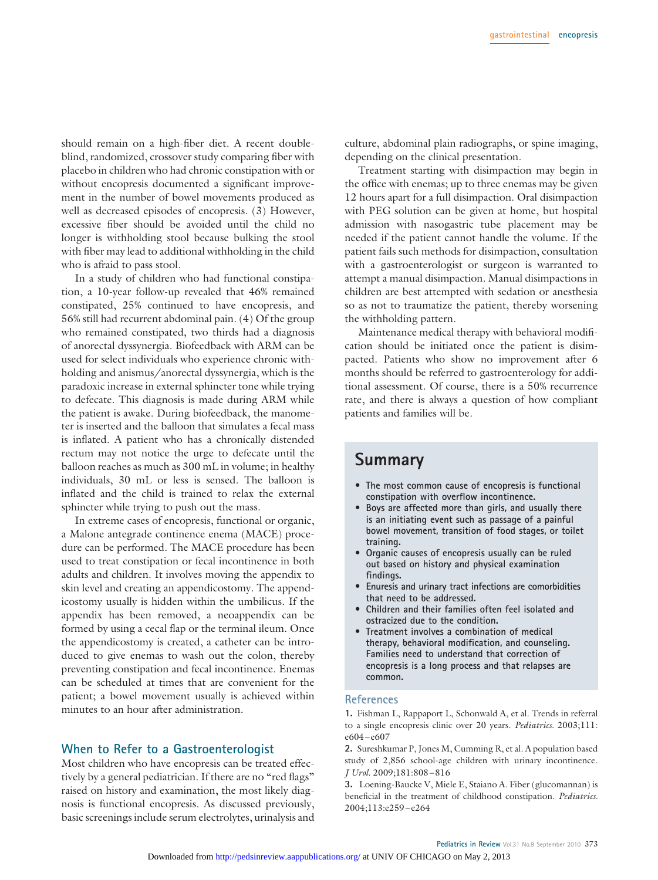should remain on a high-fiber diet. A recent doubleblind, randomized, crossover study comparing fiber with placebo in children who had chronic constipation with or without encopresis documented a significant improvement in the number of bowel movements produced as well as decreased episodes of encopresis. (3) However, excessive fiber should be avoided until the child no longer is withholding stool because bulking the stool with fiber may lead to additional withholding in the child who is afraid to pass stool.

In a study of children who had functional constipation, a 10-year follow-up revealed that 46% remained constipated, 25% continued to have encopresis, and 56% still had recurrent abdominal pain. (4) Of the group who remained constipated, two thirds had a diagnosis of anorectal dyssynergia. Biofeedback with ARM can be used for select individuals who experience chronic withholding and anismus/anorectal dyssynergia, which is the paradoxic increase in external sphincter tone while trying to defecate. This diagnosis is made during ARM while the patient is awake. During biofeedback, the manometer is inserted and the balloon that simulates a fecal mass is inflated. A patient who has a chronically distended rectum may not notice the urge to defecate until the balloon reaches as much as 300 mL in volume; in healthy individuals, 30 mL or less is sensed. The balloon is inflated and the child is trained to relax the external sphincter while trying to push out the mass.

In extreme cases of encopresis, functional or organic, a Malone antegrade continence enema (MACE) procedure can be performed. The MACE procedure has been used to treat constipation or fecal incontinence in both adults and children. It involves moving the appendix to skin level and creating an appendicostomy. The appendicostomy usually is hidden within the umbilicus. If the appendix has been removed, a neoappendix can be formed by using a cecal flap or the terminal ileum. Once the appendicostomy is created, a catheter can be introduced to give enemas to wash out the colon, thereby preventing constipation and fecal incontinence. Enemas can be scheduled at times that are convenient for the patient; a bowel movement usually is achieved within minutes to an hour after administration.

#### **When to Refer to a Gastroenterologist**

Most children who have encopresis can be treated effectively by a general pediatrician. If there are no "red flags" raised on history and examination, the most likely diagnosis is functional encopresis. As discussed previously, basic screenings include serum electrolytes, urinalysis and

culture, abdominal plain radiographs, or spine imaging, depending on the clinical presentation.

Treatment starting with disimpaction may begin in the office with enemas; up to three enemas may be given 12 hours apart for a full disimpaction. Oral disimpaction with PEG solution can be given at home, but hospital admission with nasogastric tube placement may be needed if the patient cannot handle the volume. If the patient fails such methods for disimpaction, consultation with a gastroenterologist or surgeon is warranted to attempt a manual disimpaction. Manual disimpactions in children are best attempted with sedation or anesthesia so as not to traumatize the patient, thereby worsening the withholding pattern.

Maintenance medical therapy with behavioral modification should be initiated once the patient is disimpacted. Patients who show no improvement after 6 months should be referred to gastroenterology for additional assessment. Of course, there is a 50% recurrence rate, and there is always a question of how compliant patients and families will be.

# **Summary**

- **The most common cause of encopresis is functional constipation with overflow incontinence.**
- **Boys are affected more than girls, and usually there is an initiating event such as passage of a painful bowel movement, transition of food stages, or toilet training.**
- **Organic causes of encopresis usually can be ruled out based on history and physical examination findings.**
- **Enuresis and urinary tract infections are comorbidities that need to be addressed.**
- **Children and their families often feel isolated and ostracized due to the condition.**
- **Treatment involves a combination of medical therapy, behavioral modification, and counseling. Families need to understand that correction of encopresis is a long process and that relapses are common.**

#### **References**

**1.** Fishman L, Rappaport L, Schonwald A, et al. Trends in referral to a single encopresis clinic over 20 years. *Pediatrics.* 2003;111: e604 – e607

**2.** Sureshkumar P, Jones M, Cumming R, et al. A population based study of 2,856 school-age children with urinary incontinence. *J Urol.* 2009;181:808 – 816

**3.** Loening-Baucke V, Miele E, Staiano A. Fiber (glucomannan) is beneficial in the treatment of childhood constipation. *Pediatrics.* 2004;113:e259 – e264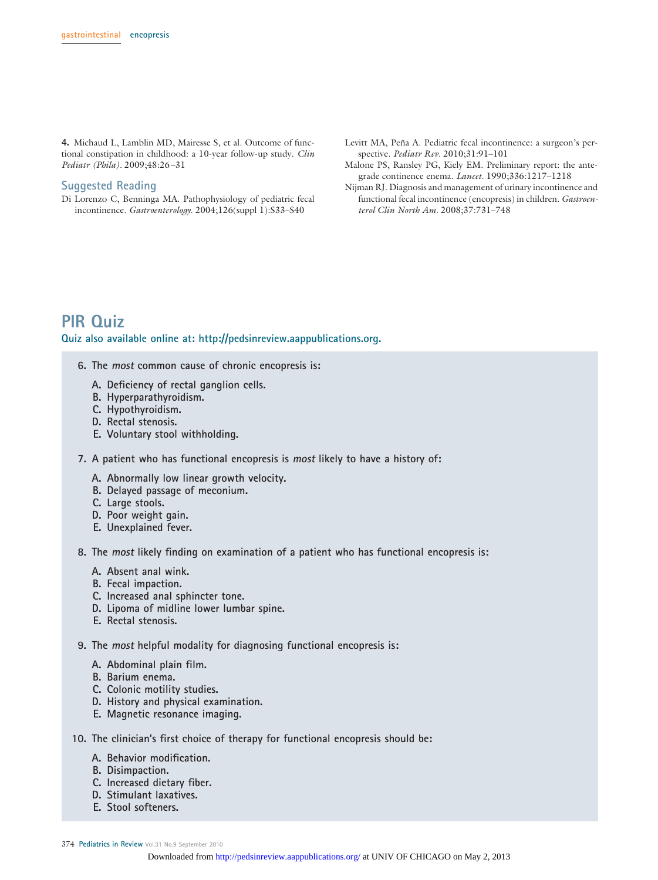**4.** Michaud L, Lamblin MD, Mairesse S, et al. Outcome of functional constipation in childhood: a 10-year follow-up study. *Clin Pediatr (Phila).* 2009;48:26 –31

#### **Suggested Reading**

Di Lorenzo C, Benninga MA. Pathophysiology of pediatric fecal incontinence. *Gastroenterology.* 2004;126(suppl 1):S33–S40

Levitt MA, Peña A. Pediatric fecal incontinence: a surgeon's perspective. *Pediatr Rev.* 2010;31:91–101

Malone PS, Ransley PG, Kiely EM. Preliminary report: the antegrade continence enema. *Lancet.* 1990;336:1217–1218

Nijman RJ. Diagnosis and management of urinary incontinence and functional fecal incontinence (encopresis) in children. *Gastroenterol Clin North Am.* 2008;37:731–748

# **PIR Quiz**

**Quiz also available online at: http://pedsinreview.aappublications.org.**

- **6. The most common cause of chronic encopresis is:**
	- **A. Deficiency of rectal ganglion cells.**
	- **B. Hyperparathyroidism.**
	- **C. Hypothyroidism.**
	- **D. Rectal stenosis.**
	- **E. Voluntary stool withholding.**
- **7. A patient who has functional encopresis is most likely to have a history of:**
	- **A. Abnormally low linear growth velocity.**
	- **B. Delayed passage of meconium.**
	- **C. Large stools.**
	- **D. Poor weight gain.**
	- **E. Unexplained fever.**
- **8. The most likely finding on examination of a patient who has functional encopresis is:**
	- **A. Absent anal wink.**
	- **B. Fecal impaction.**
	- **C. Increased anal sphincter tone.**
	- **D. Lipoma of midline lower lumbar spine.**
	- **E. Rectal stenosis.**
- **9. The most helpful modality for diagnosing functional encopresis is:**
	- **A. Abdominal plain film.**
	- **B. Barium enema.**
	- **C. Colonic motility studies.**
	- **D. History and physical examination.**
	- **E. Magnetic resonance imaging.**
- **10. The clinician's first choice of therapy for functional encopresis should be:**
	- **A. Behavior modification.**
	- **B. Disimpaction.**
	- **C. Increased dietary fiber.**
	- **D. Stimulant laxatives.**
	- **E. Stool softeners.**